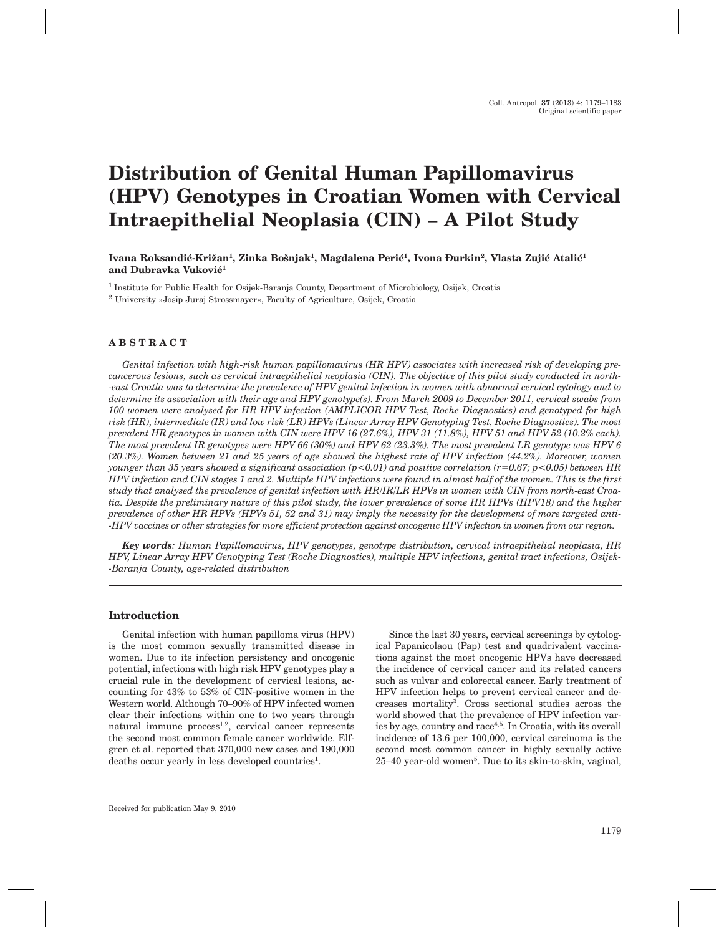# **Distribution of Genital Human Papillomavirus (HPV) Genotypes in Croatian Women with Cervical Intraepithelial Neoplasia (CIN) – A Pilot Study**

Ivana Roksandić-Križan<sup>1</sup>, Zinka Bošnjak<sup>1</sup>, Magdalena Perić<sup>1</sup>, Ivona Đurkin<sup>2</sup>, Vlasta Zujić Atalić<sup>1</sup> and Dubravka Vuković<sup>1</sup>

<sup>1</sup> Institute for Public Health for Osijek-Baranja County, Department of Microbiology, Osijek, Croatia <sup>2</sup> University »Josip Juraj Strossmayer«, Faculty of Agriculture, Osijek, Croatia

## **ABSTRACT**

*Genital infection with high-risk human papillomavirus (HR HPV) associates with increased risk of developing precancerous lesions, such as cervical intraepithelial neoplasia (CIN). The objective of this pilot study conducted in north- -east Croatia was to determine the prevalence of HPV genital infection in women with abnormal cervical cytology and to determine its association with their age and HPV genotype(s). From March 2009 to December 2011, cervical swabs from 100 women were analysed for HR HPV infection (AMPLICOR HPV Test, Roche Diagnostics) and genotyped for high risk (HR), intermediate (IR) and low risk (LR) HPVs (Linear Array HPV Genotyping Test, Roche Diagnostics). The most prevalent HR genotypes in women with CIN were HPV 16 (27.6%), HPV 31 (11.8%), HPV 51 and HPV 52 (10.2% each). The most prevalent IR genotypes were HPV 66 (30%) and HPV 62 (23.3%). The most prevalent LR genotype was HPV 6 (20.3%). Women between 21 and 25 years of age showed the highest rate of HPV infection (44.2%). Moreover, women younger than 35 years showed a significant association (p<0.01) and positive correlation (r=0.67; p<0.05) between HR HPV infection and CIN stages 1 and 2. Multiple HPV infections were found in almost half of the women. This is the first study that analysed the prevalence of genital infection with HR/IR/LR HPVs in women with CIN from north-east Croatia. Despite the preliminary nature of this pilot study, the lower prevalence of some HR HPVs (HPV18) and the higher prevalence of other HR HPVs (HPVs 51, 52 and 31) may imply the necessity for the development of more targeted anti- -HPV vaccines or other strategies for more efficient protection against oncogenic HPV infection in women from our region.*

*Key words: Human Papillomavirus, HPV genotypes, genotype distribution, cervical intraepithelial neoplasia, HR HPV, Linear Array HPV Genotyping Test (Roche Diagnostics), multiple HPV infections, genital tract infections, Osijek- -Baranja County, age-related distribution*

## **Introduction**

Genital infection with human papilloma virus (HPV) is the most common sexually transmitted disease in women. Due to its infection persistency and oncogenic potential, infections with high risk HPV genotypes play a crucial rule in the development of cervical lesions, accounting for 43% to 53% of CIN-positive women in the Western world. Although 70–90% of HPV infected women clear their infections within one to two years through natural immune process<sup>1,2</sup>, cervical cancer represents the second most common female cancer worldwide. Elfgren et al. reported that 370,000 new cases and 190,000 deaths occur yearly in less developed countries<sup>1</sup>.

Since the last 30 years, cervical screenings by cytological Papanicolaou (Pap) test and quadrivalent vaccinations against the most oncogenic HPVs have decreased the incidence of cervical cancer and its related cancers such as vulvar and colorectal cancer. Early treatment of HPV infection helps to prevent cervical cancer and decreases mortality3. Cross sectional studies across the world showed that the prevalence of HPV infection varies by age, country and race4,5. In Croatia, with its overall incidence of 13.6 per 100,000, cervical carcinoma is the second most common cancer in highly sexually active 25–40 year-old women5. Due to its skin-to-skin, vaginal,

Received for publication May 9, 2010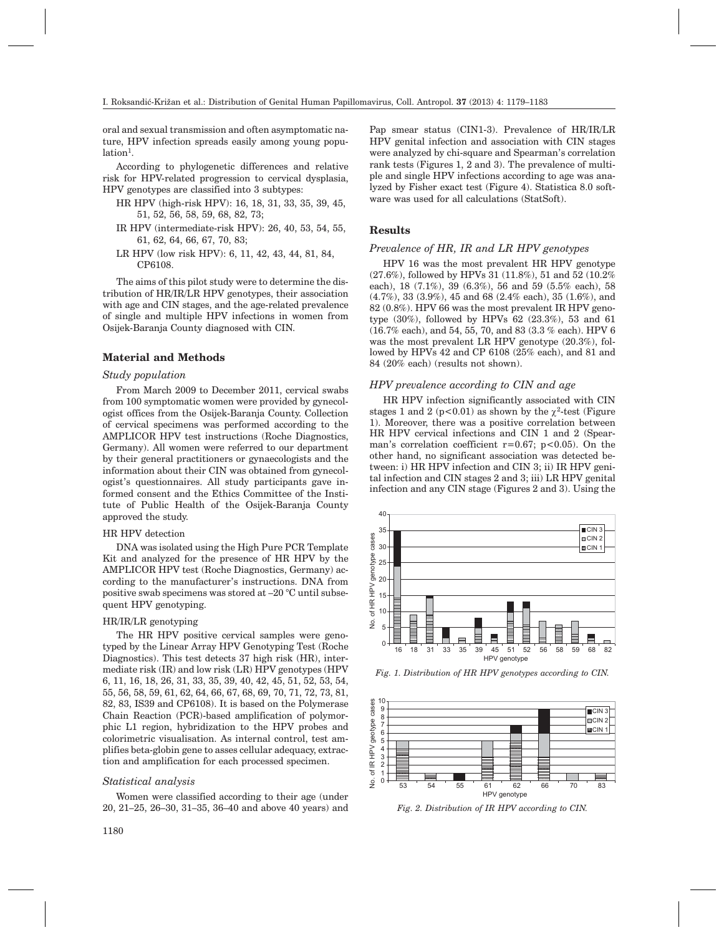oral and sexual transmission and often asymptomatic nature, HPV infection spreads easily among young popu $lation<sup>1</sup>$ .

According to phylogenetic differences and relative risk for HPV-related progression to cervical dysplasia, HPV genotypes are classified into 3 subtypes:

- HR HPV (high-risk HPV): 16, 18, 31, 33, 35, 39, 45, 51, 52, 56, 58, 59, 68, 82, 73;
- IR HPV (intermediate-risk HPV): 26, 40, 53, 54, 55, 61, 62, 64, 66, 67, 70, 83;
- LR HPV (low risk HPV): 6, 11, 42, 43, 44, 81, 84, CP6108.

The aims of this pilot study were to determine the distribution of HR/IR/LR HPV genotypes, their association with age and CIN stages, and the age-related prevalence of single and multiple HPV infections in women from Osijek-Baranja County diagnosed with CIN.

#### **Material and Methods**

## *Study population*

From March 2009 to December 2011, cervical swabs from 100 symptomatic women were provided by gynecologist offices from the Osijek-Baranja County. Collection of cervical specimens was performed according to the AMPLICOR HPV test instructions (Roche Diagnostics, Germany). All women were referred to our department by their general practitioners or gynaecologists and the information about their CIN was obtained from gynecologist's questionnaires. All study participants gave informed consent and the Ethics Committee of the Institute of Public Health of the Osijek-Baranja County approved the study.

## HR HPV detection

DNA was isolated using the High Pure PCR Template Kit and analyzed for the presence of HR HPV by the AMPLICOR HPV test (Roche Diagnostics, Germany) according to the manufacturer's instructions. DNA from positive swab specimens was stored at –20 °C until subsequent HPV genotyping.

#### HR/IR/LR genotyping

The HR HPV positive cervical samples were genotyped by the Linear Array HPV Genotyping Test (Roche Diagnostics). This test detects 37 high risk (HR), intermediate risk (IR) and low risk (LR) HPV genotypes (HPV 6, 11, 16, 18, 26, 31, 33, 35, 39, 40, 42, 45, 51, 52, 53, 54, 55, 56, 58, 59, 61, 62, 64, 66, 67, 68, 69, 70, 71, 72, 73, 81, 82, 83, IS39 and CP6108). It is based on the Polymerase Chain Reaction (PCR)-based amplification of polymorphic L1 region, hybridization to the HPV probes and colorimetric visualisation. As internal control, test amplifies beta-globin gene to asses cellular adequacy, extraction and amplification for each processed specimen.

### *Statistical analysis*

Women were classified according to their age (under 20, 21–25, 26–30, 31–35, 36–40 and above 40 years) and

Pap smear status (CIN1-3). Prevalence of HR/IR/LR HPV genital infection and association with CIN stages were analyzed by chi-square and Spearman's correlation rank tests (Figures 1, 2 and 3). The prevalence of multiple and single HPV infections according to age was analyzed by Fisher exact test (Figure 4). Statistica 8.0 software was used for all calculations (StatSoft).

## **Results**

## *Prevalence of HR, IR and LR HPV genotypes*

HPV 16 was the most prevalent HR HPV genotype (27.6%), followed by HPVs 31 (11.8%), 51 and 52 (10.2% each), 18 (7.1%), 39 (6.3%), 56 and 59 (5.5% each), 58 (4.7%), 33 (3.9%), 45 and 68 (2.4% each), 35 (1.6%), and 82 (0.8%). HPV 66 was the most prevalent IR HPV genotype (30%), followed by HPVs 62 (23.3%), 53 and 61 (16.7% each), and 54, 55, 70, and 83 (3.3 % each). HPV 6 was the most prevalent LR HPV genotype (20.3%), followed by HPVs 42 and CP 6108 (25% each), and 81 and 84 (20% each) (results not shown).

## *HPV prevalence according to CIN and age*

HR HPV infection significantly associated with CIN stages 1 and 2 ( $p < 0.01$ ) as shown by the  $\gamma^2$ -test (Figure 1). Moreover, there was a positive correlation between HR HPV cervical infections and CIN 1 and 2 (Spearman's correlation coefficient  $r=0.67$ ;  $p<0.05$ ). On the other hand, no significant association was detected between: i) HR HPV infection and CIN 3; ii) IR HPV genital infection and CIN stages 2 and 3; iii) LR HPV genital infection and any CIN stage (Figures 2 and 3). Using the



*Fig. 1. Distribution of HR HPV genotypes according to CIN.*



*Fig. 2. Distribution of IR HPV according to CIN.*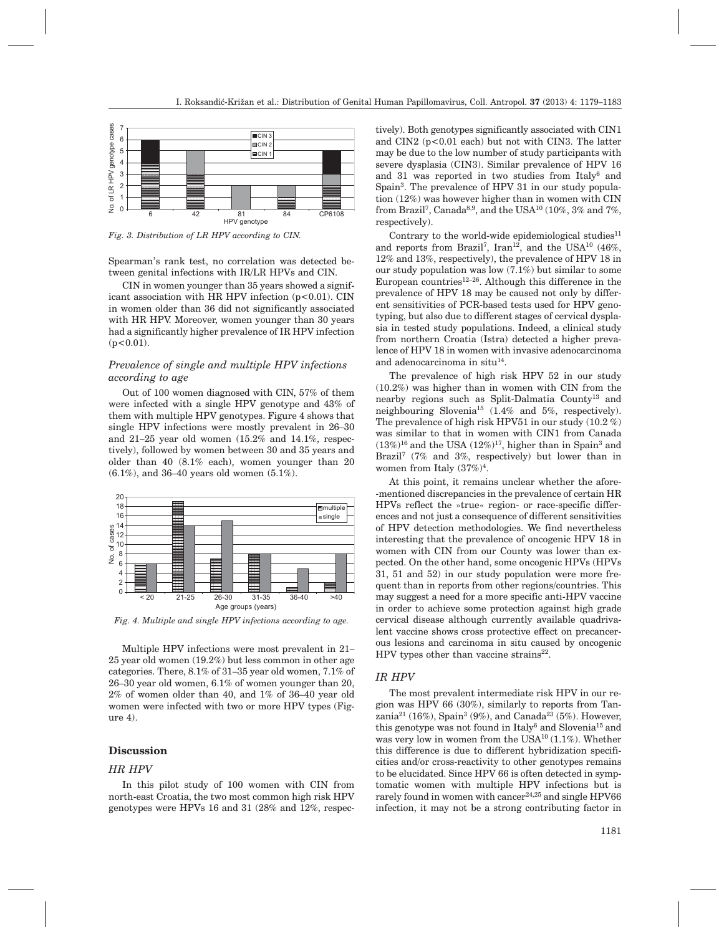

*Fig. 3. Distribution of LR HPV according to CIN.*

Spearman's rank test, no correlation was detected between genital infections with IR/LR HPVs and CIN.

CIN in women younger than 35 years showed a significant association with HR HPV infection  $(p<0.01)$ . CIN in women older than 36 did not significantly associated with HR HPV. Moreover, women younger than 30 years had a significantly higher prevalence of IR HPV infection  $(p<0.01)$ .

## *Prevalence of single and multiple HPV infections according to age*

Out of 100 women diagnosed with CIN, 57% of them were infected with a single HPV genotype and 43% of them with multiple HPV genotypes. Figure 4 shows that single HPV infections were mostly prevalent in 26–30 and 21–25 year old women (15.2% and 14.1%, respectively), followed by women between 30 and 35 years and older than 40 (8.1% each), women younger than 20 (6.1%), and 36–40 years old women (5.1%).



Age groups (years) *Fig. 4. Multiple and single HPV infections according to age.*

Multiple HPV infections were most prevalent in 21– 25 year old women (19.2%) but less common in other age categories. There, 8.1% of 31–35 year old women, 7.1% of 26–30 year old women, 6.1% of women younger than 20, 2% of women older than 40, and 1% of 36–40 year old women were infected with two or more HPV types (Figure 4).

# **Discussion**

## *HR HPV*

In this pilot study of 100 women with CIN from north-east Croatia, the two most common high risk HPV genotypes were HPVs 16 and 31 (28% and 12%, respectively). Both genotypes significantly associated with CIN1 and CIN2  $(p<0.01$  each) but not with CIN3. The latter may be due to the low number of study participants with severe dysplasia (CIN3). Similar prevalence of HPV 16 and 31 was reported in two studies from Italy6 and Spain3. The prevalence of HPV 31 in our study population (12%) was however higher than in women with CIN from Brazil<sup>7</sup>, Canada<sup>8,9</sup>, and the USA<sup>10</sup> (10%, 3% and 7%, respectively).

Contrary to the world-wide epidemiological studies $11$ and reports from Brazil<sup>7</sup>, Iran<sup>12</sup>, and the USA<sup>10</sup> (46%, 12% and 13%, respectively), the prevalence of HPV 18 in our study population was low (7.1%) but similar to some European countries $12-26$ . Although this difference in the prevalence of HPV 18 may be caused not only by different sensitivities of PCR-based tests used for HPV genotyping, but also due to different stages of cervical dysplasia in tested study populations. Indeed, a clinical study from northern Croatia (Istra) detected a higher prevalence of HPV 18 in women with invasive adenocarcinoma and adenocarcinoma in situ $14$ .

The prevalence of high risk HPV 52 in our study (10.2%) was higher than in women with CIN from the nearby regions such as Split-Dalmatia County<sup>13</sup> and neighbouring Slovenia<sup>15</sup> (1.4% and 5%, respectively). The prevalence of high risk HPV51 in our study (10.2 %) was similar to that in women with CIN1 from Canada  $(13\%)^{16}$  and the USA  $(12\%)^{17}$ , higher than in Spain<sup>3</sup> and Brazil<sup>7</sup> (7% and 3%, respectively) but lower than in women from Italy (37%)4.

At this point, it remains unclear whether the afore- -mentioned discrepancies in the prevalence of certain HR HPVs reflect the »true« region- or race-specific differences and not just a consequence of different sensitivities of HPV detection methodologies. We find nevertheless interesting that the prevalence of oncogenic HPV 18 in women with CIN from our County was lower than expected. On the other hand, some oncogenic HPVs (HPVs 31, 51 and 52) in our study population were more frequent than in reports from other regions/countries. This may suggest a need for a more specific anti-HPV vaccine in order to achieve some protection against high grade cervical disease although currently available quadrivalent vaccine shows cross protective effect on precancerous lesions and carcinoma in situ caused by oncogenic HPV types other than vaccine strains $^{22}$ .

#### *IR HPV*

The most prevalent intermediate risk HPV in our region was HPV 66 (30%), similarly to reports from Tanzania<sup>21</sup> (16%), Spain<sup>3</sup> (9%), and Canada<sup>23</sup> (5%). However, this genotype was not found in Italy<sup>6</sup> and Slovenia<sup>15</sup> and was very low in women from the USA10 (1.1%). Whether this difference is due to different hybridization specificities and/or cross-reactivity to other genotypes remains to be elucidated. Since HPV 66 is often detected in symptomatic women with multiple HPV infections but is rarely found in women with cancer<sup>24,25</sup> and single HPV66 infection, it may not be a strong contributing factor in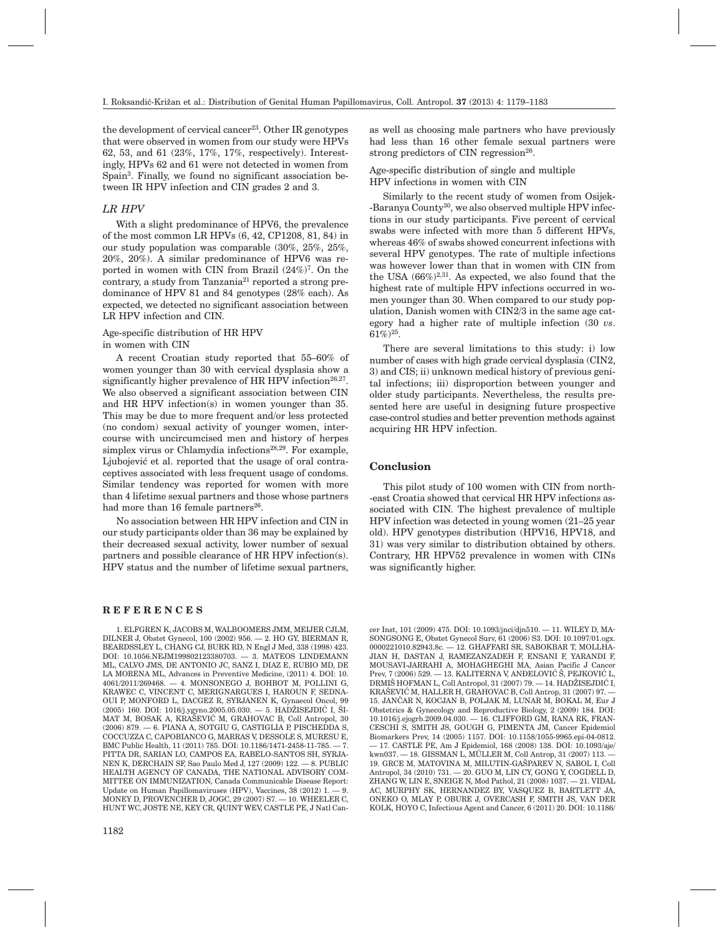the development of cervical cancer<sup>23</sup>. Other IR genotypes that were observed in women from our study were HPVs 62, 53, and 61 (23%, 17%, 17%, respectively). Interestingly, HPVs 62 and 61 were not detected in women from Spain<sup>3</sup>. Finally, we found no significant association between IR HPV infection and CIN grades 2 and 3.

#### *LR HPV*

With a slight predominance of HPV6, the prevalence of the most common LR HPVs (6, 42, CP1208, 81, 84) in our study population was comparable (30%, 25%, 25%, 20%, 20%). A similar predominance of HPV6 was reported in women with CIN from Brazil  $(24\%)^7$ . On the contrary, a study from Tanzania $21$  reported a strong predominance of HPV 81 and 84 genotypes (28% each). As expected, we detected no significant association between LR HPV infection and CIN.

## Age-specific distribution of HR HPV in women with CIN

A recent Croatian study reported that 55–60% of women younger than 30 with cervical dysplasia show a significantly higher prevalence of HR HPV infection<sup>26,27</sup>. We also observed a significant association between CIN and HR HPV infection(s) in women younger than 35. This may be due to more frequent and/or less protected (no condom) sexual activity of younger women, intercourse with uncircumcised men and history of herpes simplex virus or Chlamydia infections<sup>28,29</sup>. For example, Ljubojević et al. reported that the usage of oral contraceptives associated with less frequent usage of condoms. Similar tendency was reported for women with more than 4 lifetime sexual partners and those whose partners had more than 16 female partners<sup>26</sup>.

No association between HR HPV infection and CIN in our study participants older than 36 may be explained by their decreased sexual activity, lower number of sexual partners and possible clearance of HR HPV infection(s). HPV status and the number of lifetime sexual partners,

#### **REFERENCES**

1. ELFGREN K, JACOBS M, WALBOOMERS JMM, MEIJER CJLM, DILNER J, Obstet Gynecol, 100 (2002) 956. — 2. HO GY, BIERMAN R, BEARDSSLEY L, CHANG CJ, BURK RD, N Engl J Med, 338 (1998) 423. DOI: 10.1056.NEJM199802123380703. — 3. MATEOS LINDEMANN ML, CALVO JMS, DE ANTONIO JC, SANZ I, DIAZ E, RUBIO MD, DE LA MORENA ML, Advances in Preventive Medicine, (2011) 4. DOI: 10. 4061/2011/269468. — 4. MONSONEGO J, BOHBOT M, POLLINI G, KRAWEC C, VINCENT C, MERIGNARGUES I, HAROUN F, SEDNA-OUI P, MONFORD L, DACGEZ R, SYRJANEN K, Gynaecol Oncol, 99  $(2005)$  160. DOI: 1016/j.ygyno.2005.05.030. - 5. HADŽISEJDIĆ I, ŠI-MAT M, BOSAK A, KRAŠEVIĆ M, GRAHOVAC B, Coll Antropol. 30 (2006) 879. — 6. PIANA A, SOTGIU G, CASTIGLIA P, PISCHEDDA S, COCCUZZA C, CAPOBIANCO G, MARRAS V, DESSOLE S, MURESU E, BMC Public Health, 11 (2011) 785. DOI: 10.1186/1471-2458-11-785. — 7. PITTA DR, SARIAN LO, CAMPOS EA, RABELO-SANTOS SH, SYRJA-NEN K, DERCHAIN SF, Sao Paulo Med J, 127 (2009) 122. — 8. PUBLIC HEALTH AGENCY OF CANADA, THE NATIONAL ADVISORY COM-MITTEE ON IMMUNIZATION, Canada Communicable Disease Report: Update on Human Papillomaviruses (HPV), Vaccines, 38 (2012) 1. — 9. MONEY D, PROVENCHER D, JOGC, 29 (2007) S7. — 10. WHEELER C, HUNT WC, JOSTE NE, KEY CR, QUINT WEV, CASTLE PE, J Natl Canas well as choosing male partners who have previously had less than 16 other female sexual partners were strong predictors of CIN regression $26$ .

Age-specific distribution of single and multiple HPV infections in women with CIN

Similarly to the recent study of women from Osijek- -Baranya County<sup>30</sup>, we also observed multiple HPV infections in our study participants. Five percent of cervical swabs were infected with more than 5 different HPVs, whereas 46% of swabs showed concurrent infections with several HPV genotypes. The rate of multiple infections was however lower than that in women with CIN from the USA  $(66\%)^{2,31}$ . As expected, we also found that the highest rate of multiple HPV infections occurred in women younger than 30. When compared to our study population, Danish women with CIN2/3 in the same age category had a higher rate of multiple infection (30 *vs*.  $61\%)^{25}$ .

There are several limitations to this study: i) low number of cases with high grade cervical dysplasia (CIN2, 3) and CIS; ii) unknown medical history of previous genital infections; iii) disproportion between younger and older study participants. Nevertheless, the results presented here are useful in designing future prospective case-control studies and better prevention methods against acquiring HR HPV infection.

#### **Conclusion**

This pilot study of 100 women with CIN from north- -east Croatia showed that cervical HR HPV infections associated with CIN. The highest prevalence of multiple HPV infection was detected in young women (21–25 year old). HPV genotypes distribution (HPV16, HPV18, and 31) was very similar to distribution obtained by others. Contrary, HR HPV52 prevalence in women with CINs was significantly higher.

cer Inst, 101 (2009) 475. DOI: 10.1093/jnci/djn510. — 11. WILEY D, MA-SONGSONG E, Obstet Gynecol Surv, 61 (2006) S3. DOI: 10.1097/01.ogx. 0000221010.82943.8c. — 12. GHAFFARI SR, SABOKBAR T, MOLLHA-JIAN H, DASTAN J, RAMEZANZADEH F, ENSANI F, YARANDI F, MOUSAVI-JARRAHI A, MOHAGHEGHI MA, Asian Pacific J Cancer Prev,  $7(2006)$  529. — 13. KALITERNA V, ANĐELOVIĆ Š, PEJKOVIĆ L, DRMIŠ HOFMAN L, Coll Antropol, 31 (2007) 79. - 14. HADŽISEJDIC I, KRAŠEVIĆ M, HALLER H, GRAHOVAC B, Coll Antrop, 31 (2007) 97. -15. JANČAR N, KOCJAN B, POLJAK M, LUNAR M, BOKAL M, Eur J Obstetrics & Gynecology and Reproductive Biology, 2 (2009) 184. DOI: 10.1016/j.ejogrb.2009.04.030. — 16. CLIFFORD GM, RANA RK, FRAN-CESCHI S, SMITH JS, GOUGH G, PIMENTA JM, Cancer Epidemiol Biomarkers Prev, 14 (2005) 1157. DOI: 10.1158/1055-9965.epi-04-0812. — 17. CASTLE PE, Am J Epidemiol, 168 (2008) 138. DOI: 10.1093/aje/ kwn037. — 18. GISSMAN L, MÜLLER M, Coll Antrop, 31 (2007) 113. — 19. GRCE M, MATOVINA M, MILUTIN-GAŠPAREV N, SABOL I, Coll Antropol, 34 (2010) 731. — 20. GUO M, LIN CY, GONG Y, COGDELL D, ZHANG W, LIN E, SNEIGE N, Mod Pathol, 21 (2008) 1037. — 21. VIDAL AC, MURPHY SK, HERNANDEZ BY, VASQUEZ B, BARTLETT JA, ONEKO O, MLAY P, OBURE J, OVERCASH F, SMITH JS, VAN DER KOLK, HOYO C, Infectious Agent and Cancer, 6 (2011) 20. DOI: 10.1186/